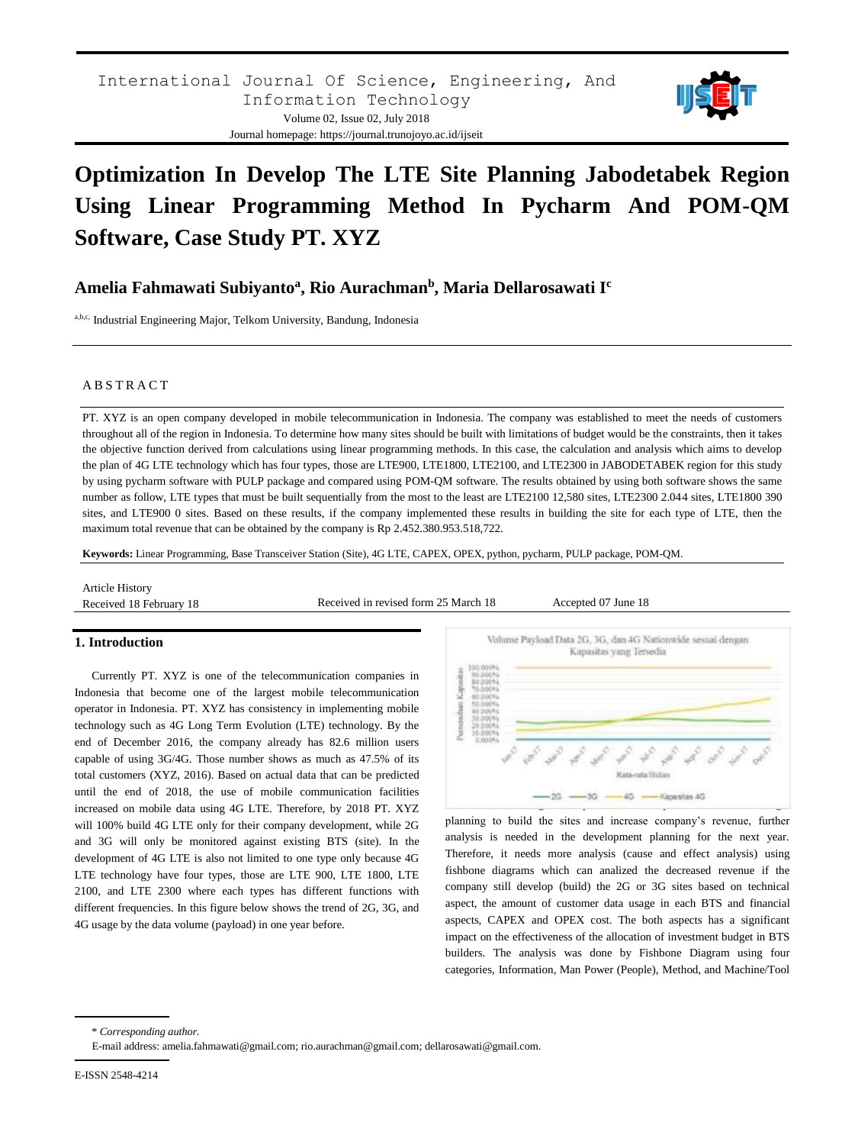

# **Optimization In Develop The LTE Site Planning Jabodetabek Region Using Linear Programming Method In Pycharm And POM-QM Software, Case Study PT. XYZ**

## **Amelia Fahmawati Subiyanto<sup>a</sup> , Rio Aurachman<sup>b</sup> , Maria Dellarosawati I<sup>c</sup>**

a,b,c, Industrial Engineering Major, Telkom University, Bandung, Indonesia

#### A B S T R A C T

PT. XYZ is an open company developed in mobile telecommunication in Indonesia. The company was established to meet the needs of customers throughout all of the region in Indonesia. To determine how many sites should be built with limitations of budget would be the constraints, then it takes the objective function derived from calculations using linear programming methods. In this case, the calculation and analysis which aims to develop the plan of 4G LTE technology which has four types, those are LTE900, LTE1800, LTE2100, and LTE2300 in JABODETABEK region for this study by using pycharm software with PULP package and compared using POM-QM software. The results obtained by using both software shows the same number as follow, LTE types that must be built sequentially from the most to the least are LTE2100 12,580 sites, LTE2300 2.044 sites, LTE1800 390 sites, and LTE900 0 sites. Based on these results, if the company implemented these results in building the site for each type of LTE, then the maximum total revenue that can be obtained by the company is Rp 2.452.380.953.518,722.

**Keywords:** Linear Programming, Base Transceiver Station (Site), 4G LTE, CAPEX, OPEX, python, pycharm, PULP package, POM-QM.

Article History

Received 18 February 18 Received in revised form 25 March 18 Accepted 07 June 18

#### **1. Introduction**

Currently PT. XYZ is one of the telecommunication companies in Indonesia that become one of the largest mobile telecommunication operator in Indonesia. PT. XYZ has consistency in implementing mobile technology such as 4G Long Term Evolution (LTE) technology. By the end of December 2016, the company already has 82.6 million users capable of using 3G/4G. Those number shows as much as 47.5% of its total customers (XYZ, 2016). Based on actual data that can be predicted until the end of 2018, the use of mobile communication facilities increased on mobile data using 4G LTE. Therefore, by 2018 PT. XYZ will 100% build 4G LTE only for their company development, while 2G and 3G will only be monitored against existing BTS (site). In the development of 4G LTE is also not limited to one type only because 4G LTE technology have four types, those are LTE 900, LTE 1800, LTE 2100, and LTE 2300 where each types has different functions with different frequencies. In this figure below shows the trend of 2G, 3G, and 4G usage by the data volume (payload) in one year before.



planning to build the sites and increase company's revenue, further analysis is needed in the development planning for the next year. Therefore, it needs more analysis (cause and effect analysis) using fishbone diagrams which can analized the decreased revenue if the company still develop (build) the 2G or 3G sites based on technical aspect, the amount of customer data usage in each BTS and financial aspects, CAPEX and OPEX cost. The both aspects has a significant impact on the effectiveness of the allocation of investment budget in BTS builders. The analysis was done by Fishbone Diagram using four categories, Information, Man Power (People), Method, and Machine/Tool

\* *Corresponding author.*

E-mail address: amelia.fahmawati@gmail.com; rio.aurachman@gmail.com; dellarosawati@gmail.com.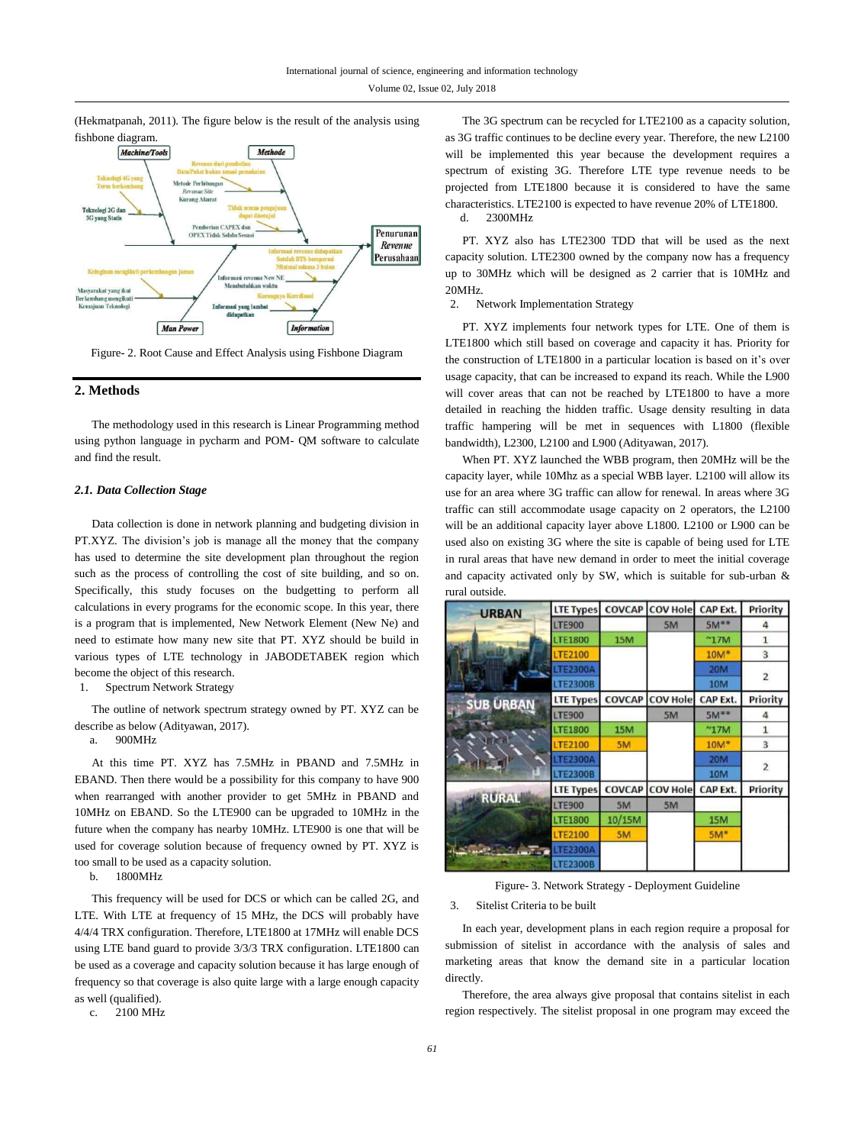(Hekmatpanah, 2011). The figure below is the result of the analysis using fishbone diagram.



Figure- 2. Root Cause and Effect Analysis using Fishbone Diagram

## **2. Methods**

The methodology used in this research is Linear Programming method using python language in pycharm and POM- QM software to calculate and find the result.

#### *2.1. Data Collection Stage*

Data collection is done in network planning and budgeting division in PT.XYZ. The division's job is manage all the money that the company has used to determine the site development plan throughout the region such as the process of controlling the cost of site building, and so on. Specifically, this study focuses on the budgetting to perform all calculations in every programs for the economic scope. In this year, there is a program that is implemented, New Network Element (New Ne) and need to estimate how many new site that PT. XYZ should be build in various types of LTE technology in JABODETABEK region which become the object of this research.

1. Spectrum Network Strategy

The outline of network spectrum strategy owned by PT. XYZ can be describe as below (Adityawan, 2017).

a. 900MHz

At this time PT. XYZ has 7.5MHz in PBAND and 7.5MHz in EBAND. Then there would be a possibility for this company to have 900 when rearranged with another provider to get 5MHz in PBAND and 10MHz on EBAND. So the LTE900 can be upgraded to 10MHz in the future when the company has nearby 10MHz. LTE900 is one that will be used for coverage solution because of frequency owned by PT. XYZ is too small to be used as a capacity solution.

b. 1800MHz

This frequency will be used for DCS or which can be called 2G, and LTE. With LTE at frequency of 15 MHz, the DCS will probably have 4/4/4 TRX configuration. Therefore, LTE1800 at 17MHz will enable DCS using LTE band guard to provide 3/3/3 TRX configuration. LTE1800 can be used as a coverage and capacity solution because it has large enough of frequency so that coverage is also quite large with a large enough capacity as well (qualified).

c. 2100 MHz

The 3G spectrum can be recycled for LTE2100 as a capacity solution, as 3G traffic continues to be decline every year. Therefore, the new L2100 will be implemented this year because the development requires a spectrum of existing 3G. Therefore LTE type revenue needs to be projected from LTE1800 because it is considered to have the same characteristics. LTE2100 is expected to have revenue 20% of LTE1800. d. 2300MHz

PT. XYZ also has LTE2300 TDD that will be used as the next capacity solution. LTE2300 owned by the company now has a frequency up to 30MHz which will be designed as 2 carrier that is 10MHz and 20MHz.

2. Network Implementation Strategy

PT. XYZ implements four network types for LTE. One of them is LTE1800 which still based on coverage and capacity it has. Priority for the construction of LTE1800 in a particular location is based on it's over usage capacity, that can be increased to expand its reach. While the L900 will cover areas that can not be reached by LTE1800 to have a more detailed in reaching the hidden traffic. Usage density resulting in data traffic hampering will be met in sequences with L1800 (flexible bandwidth), L2300, L2100 and L900 (Adityawan, 2017).

When PT. XYZ launched the WBB program, then 20MHz will be the capacity layer, while 10Mhz as a special WBB layer. L2100 will allow its use for an area where 3G traffic can allow for renewal. In areas where 3G traffic can still accommodate usage capacity on 2 operators, the L2100 will be an additional capacity layer above L1800. L2100 or L900 can be used also on existing 3G where the site is capable of being used for LTE in rural areas that have new demand in order to meet the initial coverage and capacity activated only by SW, which is suitable for sub-urban & rural outside.

| <b>URBAN</b>     | <b>LTE Types</b> |        | COVCAP COV Hole CAP Ext. |                 | Priority       |
|------------------|------------------|--------|--------------------------|-----------------|----------------|
|                  | <b>LTE900</b>    |        | 5M                       | $5M**$          | 4              |
|                  | <b>LTE1800</b>   | 15M    |                          | $^{\sim}$ 17M   | 1              |
|                  | <b>LTE2100</b>   |        |                          | $10M*$          | 3              |
|                  | <b>LTE2300A</b>  |        |                          | <b>20M</b>      | $\overline{2}$ |
|                  | <b>LTE2300B</b>  |        |                          | <b>10M</b>      |                |
| <b>SUB URBAN</b> | <b>LTE Types</b> | COVCAP | <b>COV Hole</b>          | <b>CAP Ext.</b> | Priority       |
|                  | <b>LTE900</b>    |        | 5M                       | $5M***$         | Δ              |
|                  | <b>LTE1800</b>   | 15M    |                          | $~^{\sim}$ 17M  | 1              |
|                  | <b>LTE2100</b>   | 5M     |                          | $10M*$          | 3              |
|                  | <b>LTE2300A</b>  |        |                          | <b>20M</b>      | $\overline{2}$ |
|                  | <b>LTE2300B</b>  |        |                          | 10M             |                |
|                  | <b>LTE Types</b> |        | <b>COVCAP COV Hole</b>   | <b>CAP Ext.</b> | Priority       |
| <b>RURAL</b>     | <b>LTE900</b>    | 5M     | 5M                       |                 |                |
|                  | <b>LTE1800</b>   | 10/15M |                          | <b>15M</b>      |                |
|                  | <b>LTE2100</b>   | 5M     |                          | $5M*$           |                |
| $-1$             | <b>LTE2300A</b>  |        |                          |                 |                |
|                  | <b>LTE2300B</b>  |        |                          |                 |                |

Figure- 3. Network Strategy - Deployment Guideline

3. Sitelist Criteria to be built

In each year, development plans in each region require a proposal for submission of sitelist in accordance with the analysis of sales and marketing areas that know the demand site in a particular location directly.

Therefore, the area always give proposal that contains sitelist in each region respectively. The sitelist proposal in one program may exceed the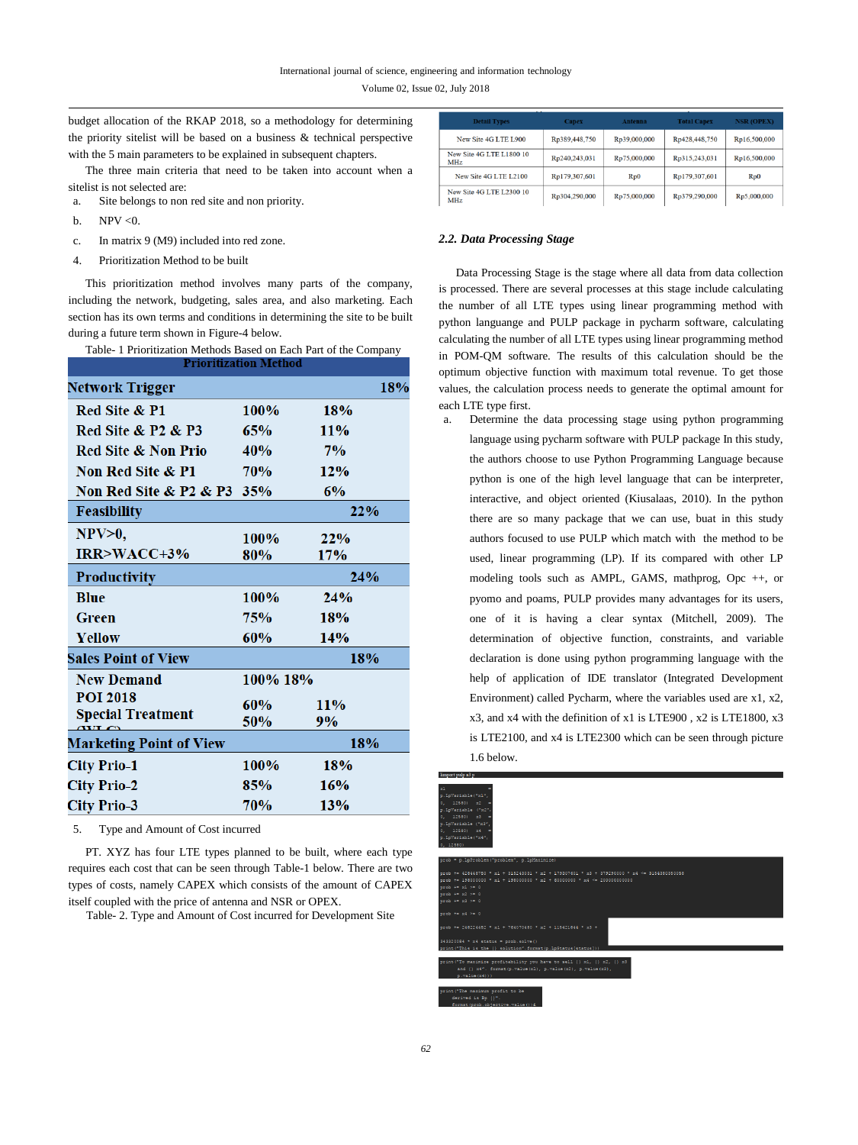Volume 02, Issue 02, July 2018

budget allocation of the RKAP 2018, so a methodology for determining the priority sitelist will be based on a business & technical perspective with the 5 main parameters to be explained in subsequent chapters.

The three main criteria that need to be taken into account when a sitelist is not selected are:

- a. Site belongs to non red site and non priority.
- b. NPV  $< 0$ .
- c. In matrix 9 (M9) included into red zone.
- 4. Prioritization Method to be built

This prioritization method involves many parts of the company, including the network, budgeting, sales area, and also marketing. Each section has its own terms and conditions in determining the site to be built during a future term shown in Figure-4 below.

| Table- 1 Prioritization Methods Based on Each Part of the Company |  |  |  |  |  |  |  |  |  |
|-------------------------------------------------------------------|--|--|--|--|--|--|--|--|--|
|                                                                   |  |  |  |  |  |  |  |  |  |

| 100%                          | 18% |                                         |
|-------------------------------|-----|-----------------------------------------|
| 65%                           | 11% |                                         |
| 40%                           | 7%  |                                         |
| 70%                           | 12% |                                         |
| Non Red Site & P2 & P3<br>35% | 6%  |                                         |
|                               | 22% |                                         |
| 100%                          | 22% |                                         |
| 80%                           | 17% |                                         |
|                               | 24% |                                         |
| 100%                          | 24% |                                         |
| 75%                           | 18% |                                         |
| 60%                           | 14% |                                         |
|                               | 18% |                                         |
|                               |     |                                         |
| 60%                           | 11% |                                         |
| 50%                           | 9%  |                                         |
|                               | 18% |                                         |
| 100%                          | 18% |                                         |
| 85%                           | 16% |                                         |
| 70%                           | 13% |                                         |
|                               |     | PITOFIUZAUOII MEUIOU<br>18%<br>100% 18% |

5. Type and Amount of Cost incurred

PT. XYZ has four LTE types planned to be built, where each type requires each cost that can be seen through Table-1 below. There are two types of costs, namely CAPEX which consists of the amount of CAPEX itself coupled with the price of antenna and NSR or OPEX.

Table- 2. Type and Amount of Cost incurred for Development Site

| <b>Detail Types</b>                    | <b>Capex</b>  | Antenna      | <b>Total Capex</b> | <b>NSR (OPEX)</b> |
|----------------------------------------|---------------|--------------|--------------------|-------------------|
| New Site 4G LTE L900                   | Rp389,448,750 | Rp39,000,000 | Rp428,448,750      | Rp16,500,000      |
| New Site 4G LTE L1800 10<br><b>MHz</b> | Rp240,243,031 | Rp75,000,000 | Rp315,243,031      | Rp16,500,000      |
| New Site 4G LTE L2100                  | Rp179,307,601 | $R_{D}0$     | Rp179,307,601      | Rp0               |
| New Site 4G LTE L2300 10<br><b>MHz</b> | Rp304,290,000 | Rp75,000,000 | Rp379,290,000      | Rp5,000,000       |

#### *2.2. Data Processing Stage*

Data Processing Stage is the stage where all data from data collection is processed. There are several processes at this stage include calculating the number of all LTE types using linear programming method with python languange and PULP package in pycharm software, calculating calculating the number of all LTE types using linear programming method in POM-QM software. The results of this calculation should be the optimum objective function with maximum total revenue. To get those values, the calculation process needs to generate the optimal amount for each LTE type first.

a. Determine the data processing stage using python programming language using pycharm software with PULP package In this study, the authors choose to use Python Programming Language because python is one of the high level language that can be interpreter, interactive, and object oriented (Kiusalaas, 2010). In the python there are so many package that we can use, buat in this study authors focused to use PULP which match with the method to be used, linear programming (LP). If its compared with other LP modeling tools such as AMPL, GAMS, mathprog, Opc ++, or pyomo and poams, PULP provides many advantages for its users, one of it is having a clear syntax (Mitchell, 2009). The determination of objective function, constraints, and variable declaration is done using python programming language with the help of application of IDE translator (Integrated Development Environment) called Pycharm, where the variables used are x1, x2, x3, and x4 with the definition of x1 is LTE900 , x2 is LTE1800, x3 is LTE2100, and x4 is LTE2300 which can be seen through picture 1.6 below.

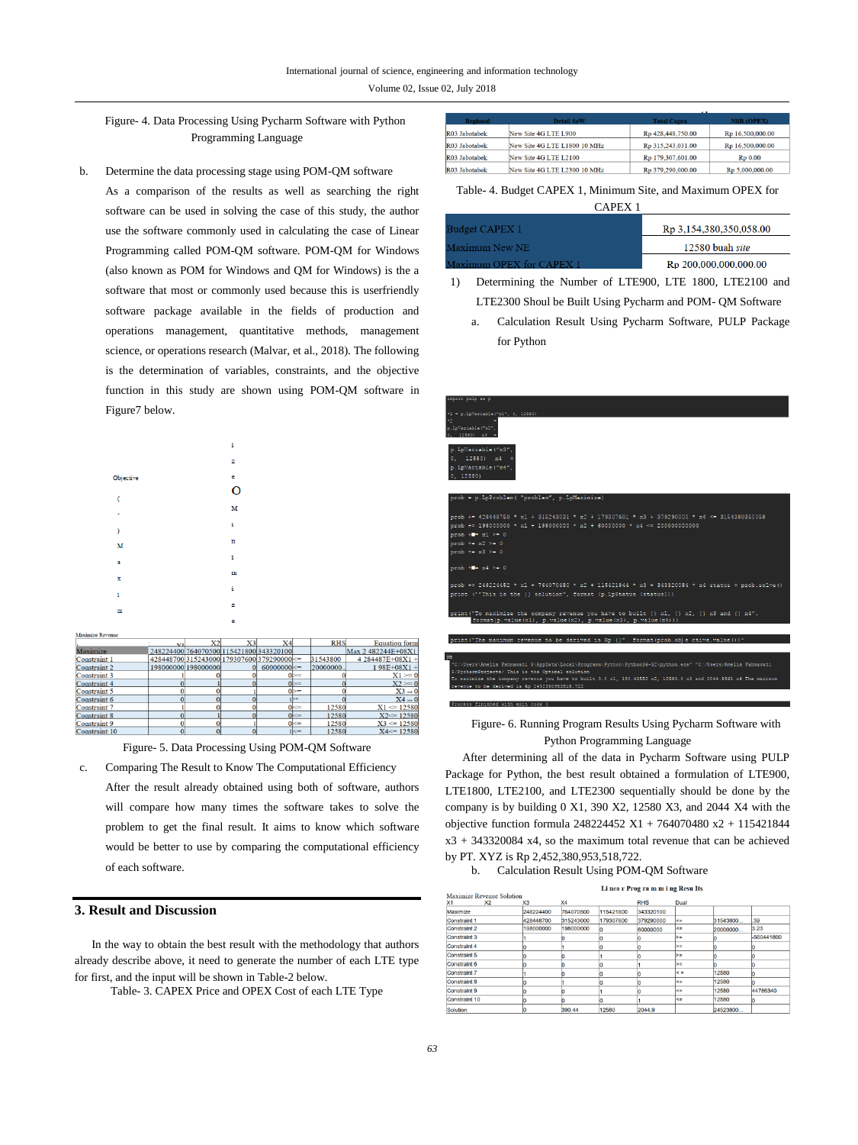Volume 02, Issue 02, July 2018

Figure- 4. Data Processing Using Pycharm Software with Python Programming Language

b. Determine the data processing stage using POM-QM software As a comparison of the results as well as searching the right software can be used in solving the case of this study, the author use the software commonly used in calculating the case of Linear Programming called POM-QM software. POM-QM for Windows (also known as POM for Windows and QM for Windows) is the a software that most or commonly used because this is userfriendly software package available in the fields of production and operations management, quantitative methods, management science, or operations research (Malvar, et al., 2018). The following is the determination of variables, constraints, and the objective function in this study are shown using POM-QM software in Figure7 below.

|                          | i |
|--------------------------|---|
|                          | z |
| Objective                | ē |
| $\overline{\mathcal{L}}$ | O |
| ٠                        | M |
| D                        | i |
| M                        | n |
| a                        | i |
| x                        | m |
| i                        | i |
| m                        | z |
|                          | e |

|                      | VT. | X2                                            | X <sub>3</sub> | X <sub>4</sub>    |                | <b>RHS</b> | <b>Equation</b> form |
|----------------------|-----|-----------------------------------------------|----------------|-------------------|----------------|------------|----------------------|
| Maximize             |     | 248224400 764070500 115421800 343320100       |                |                   |                |            | Max 2 482244E+08X1   |
| Constraint 1         |     | 428448700 315243000 179307600 379290000 $\le$ |                |                   |                | 31543800   | 4 284487E+08X1 +     |
| Constraint 2         |     | 198000000 198000000                           |                | $60000000 \leq 0$ |                | 20000000.  | $198E + 08X1 +$      |
| <b>Constraint 3</b>  |     |                                               |                |                   | $0$ $\geq$ $=$ |            | $X1 = 0$             |
| Constraint 4         |     |                                               |                |                   | $0 \geq 0$     |            | $X2 \ge 0$           |
| Constraint 5         |     |                                               |                |                   | ∩⊳=            |            | $X3 = 0$             |
| Constraint 6         |     |                                               |                |                   | b=             |            | $X4 = 0$             |
| Constraint 7         |     |                                               |                |                   | $0 < =$        | 12580      | $X1 \le 12580$       |
| <b>Constraint 8</b>  |     |                                               |                |                   | $0 \leq x$     | 12580      | $X2 \le 12580$       |
| <b>Constraint 9</b>  |     |                                               |                |                   | $0 \leq x$     | 12580      | $X3 \le 12580$       |
| <b>Constraint 10</b> |     |                                               |                |                   | $1 \leq x =$   | 12580      | $X4 \le 12580$       |

Figure- 5. Data Processing Using POM-QM Software

- c. Comparing The Result to Know The Computational Efficiency After the result already obtained using both of software, authors will compare how many times the software takes to solve the
	- problem to get the final result. It aims to know which software would be better to use by comparing the computational efficiency of each software.

## **3. Result and Discussion**

Maximize Revenue

In the way to obtain the best result with the methodology that authors already describe above, it need to generate the number of each LTE type for first, and the input will be shown in Table-2 below.

Table- 3. CAPEX Price and OPEX Cost of each LTE Type

| <b>Detail SoW</b>            | <b>Total Capex</b> | <b>NSR (OPEX)</b>   |
|------------------------------|--------------------|---------------------|
| New Site 4G LTE L900         | Rp 428,448,750.00  | Rp 16,500,000.00    |
| New Site 4G LTE L1800 10 MHz | Rp 315,243,031.00  | Rp 16,500,000.00    |
| New Site 4G LTE L2100        | Rp 179,307,601.00  | R <sub>p</sub> 0.00 |
| New Site 4G LTE L2300 10 MHz | Rp 379,290,000.00  | Rp 5,000,000.00     |
|                              |                    |                     |

## Table- 4. Budget CAPEX 1, Minimum Site, and Maximum OPEX for

| CAPEX <sub>1</sub>       |                         |
|--------------------------|-------------------------|
| Budget CAPEX 1           | Rp 3,154,380,350,058.00 |
| Maximum New NE           | 12580 buah site         |
| Maximum OPEX for CAPEX 1 | Rp 200,000,000,000,00   |

- 1) Determining the Number of LTE900, LTE 1800, LTE2100 and LTE2300 Shoul be Built Using Pycharm and POM- QM Software
	- a. Calculation Result Using Pycharm Software, PULP Package for Python

| import pulp as p                                                                                                                                                                                                                                                                                                                                                                                                                                                                    |
|-------------------------------------------------------------------------------------------------------------------------------------------------------------------------------------------------------------------------------------------------------------------------------------------------------------------------------------------------------------------------------------------------------------------------------------------------------------------------------------|
| *1 = p.LpVariable("x1", 0, 12580)<br>$x > -$<br>p. LpVariable ("x2",<br>$0.12580$ $x3 =$                                                                                                                                                                                                                                                                                                                                                                                            |
| p.LpVariable("x3",<br>$0, 12580$ $x4 =$<br>p.LpVariable("x4",<br>0, 12580                                                                                                                                                                                                                                                                                                                                                                                                           |
| prob = p.LpProblem( "problem", p.LpMaximize)                                                                                                                                                                                                                                                                                                                                                                                                                                        |
| prob += 428448750 * x1 + 315243031 * x2 + 179307601 * x3 + 379290000 * x4 <= 3154380350058<br>$\frac{1}{2}$ $\frac{1}{2}$ $\frac{1}{2}$ $\frac{1}{2}$ $\frac{1}{2}$ $\frac{1}{2}$ $\frac{1}{2}$ $\frac{1}{2}$ $\frac{1}{2}$ $\frac{1}{2}$ $\frac{1}{2}$ $\frac{1}{2}$ $\frac{1}{2}$ $\frac{1}{2}$ $\frac{1}{2}$ $\frac{1}{2}$ $\frac{1}{2}$ $\frac{1}{2}$ $\frac{1}{2}$ $\frac{1}{2}$ $\frac{1}{2}$ $\frac{1}{2}$<br>$pcob + = x1$ >= 0<br>$pcob += x2 > = 0$<br>$pcob += x3 > = 0$ |
| $pcob + 24 > 0$                                                                                                                                                                                                                                                                                                                                                                                                                                                                     |
| prob += 248224452 * x1 + 764070480 * x2 + 115421844 * x3 + 343320084 * x4 status = prob.solve()<br>print (''This is the {} solution", format (p.LpStatus [status]))                                                                                                                                                                                                                                                                                                                 |
| print ("To maximize the company revenue you have to built $\{\}$ x1, $\{\}$ x2, $\{\}$ x3 and $\{\}$ x4".<br>format(p.value(x1), p.value(x2), p.value(x3), p.value(x4))                                                                                                                                                                                                                                                                                                             |
| print ("The maximum revenue to be derived is Rp {}". format (prob.ob) e ctive.value()) ^                                                                                                                                                                                                                                                                                                                                                                                            |
| jin<br>"C:\Users\Amelia Fahmawati S\AppData\Local\Programs\Python\Python36-32\python.exe" "C:/Users/Amelia Fahmawati<br>S/PycharmProjects/ This is the Optimal solution<br>To maximize the company revenue you have to built 0.0 x1, 390.43552 x2, 12580.0 x3 and 2044.8961 x4 The maximum<br>revenue to be derived is Rp 2452380953518.722                                                                                                                                         |
| Process finished with exit code 0                                                                                                                                                                                                                                                                                                                                                                                                                                                   |

Figure- 6. Running Program Results Using Pycharm Software with Python Programming Language

After determining all of the data in Pycharm Software using PULP Package for Python, the best result obtained a formulation of LTE900, LTE1800, LTE2100, and LTE2300 sequentially should be done by the company is by building 0 X1, 390 X2, 12580 X3, and 2044 X4 with the objective function formula 248224452 X1 + 764070480 x2 + 115421844  $x3 + 343320084$  x4, so the maximum total revenue that can be achieved by PT. XYZ is Rp 2,452,380,953,518,722.

b. Calculation Result Using POM-QM Software

| Li nea r Prog ra m m i ng Resu Its |  |  |  |
|------------------------------------|--|--|--|

|                     | Maximize Revenue Solution |           |           |           |            |                 |          |            |
|---------------------|---------------------------|-----------|-----------|-----------|------------|-----------------|----------|------------|
| X1                  | X <sub>2</sub>            | X3        | X4        |           | <b>RHS</b> | Dual            |          |            |
| Maximize            |                           | 248224400 | 764070500 | 115421800 | 343320100  |                 |          |            |
| Constraint 1        |                           | 428448700 | 315243000 | 179307600 | 379290000  | $\leq$          | 31543800 | .39        |
| <b>Constraint 2</b> |                           | 198000000 | 198000000 |           | 60000000   | $\leq$          | 20000000 | 3.23       |
| Constraint 3        |                           |           |           |           |            | $>=$            |          | -560441800 |
| Constraint 4        |                           |           |           |           |            | $>=$            |          |            |
| Constraint 5        |                           |           |           |           |            | $>=$            |          |            |
| Constraint 6        |                           |           |           |           |            | $>=$            |          |            |
| <b>Constraint 7</b> |                           |           |           |           |            | $\leq$ $\equiv$ | 12580    |            |
| Constraint 8        |                           |           |           |           |            | $\leq$          | 12580    |            |
| Constraint 9        |                           |           |           |           |            | $\leq$          | 12580    | 44786340   |
| Constraint 10       |                           |           |           |           |            | $\leq$          | 12580    |            |
| Solution            |                           |           | 390.44    | 12580     | 2044.9     |                 | 24523800 |            |